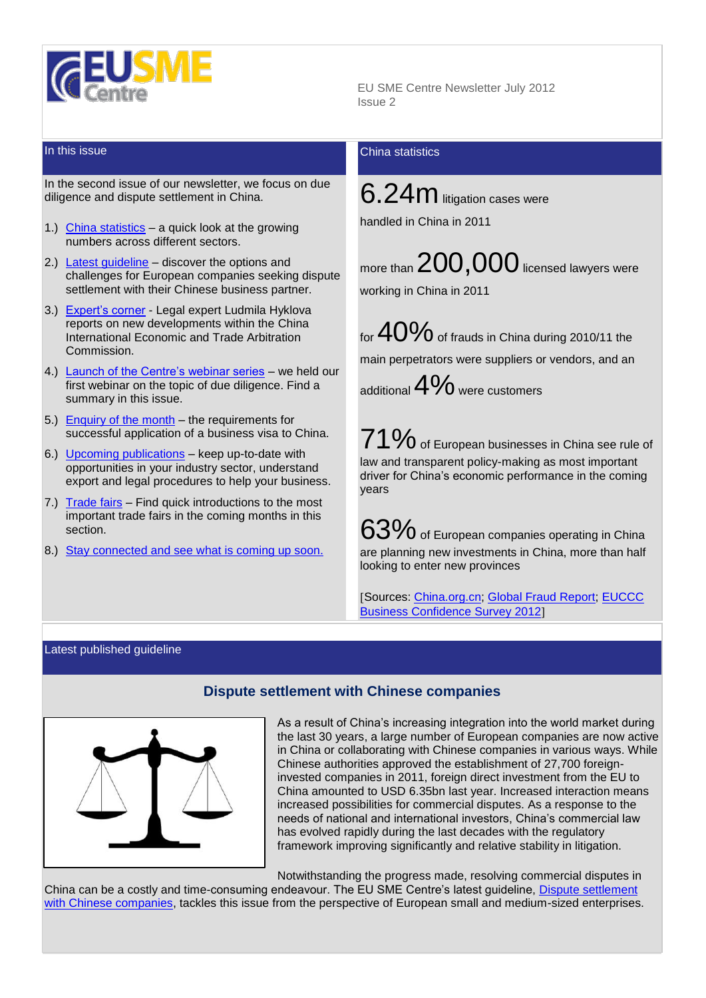

In the second issue of our newsletter, we focus on due diligence and dispute settlement in China.

- 1.) [China statistics](#page-0-0) a quick look at the growing numbers across different sectors.
- 2.) [Latest guideline](#page-0-1) discover the options and challenges for European companies seeking dispute settlement with their Chinese business partner.
- 3.) [Expert's corner](#page-1-0) Legal expert Ludmila Hyklova reports on new developments within the China International Economic and Trade Arbitration Commission.
- 4.) [Launch of the Centre's webinar series](#page-1-1) we held our first webinar on the topic of due diligence. Find a summary in this issue.
- 5.) [Enquiry of the month](#page-2-0)  $-$  the requirements for successful application of a business visa to China.
- 6.) [Upcoming publications](#page-2-1) keep up-to-date with opportunities in your industry sector, understand export and legal procedures to help your business.
- 7.) [Trade fairs](#page-2-2) Find quick introductions to the most important trade fairs in the coming months in this section.
- 8.) [Stay connected and see what is coming up soon.](#page-3-0)

 EU SME Centre Newsletter July 2012 Issue 2

# **In this issue** China statistics **China** statistics

<span id="page-0-0"></span>6.24m litigation cases were handled in China in 2011

more than  $200,000$  licensed lawyers were

working in China in 2011

for  $40\%$  of frauds in China during 2010/11 the main perpetrators were suppliers or vendors, and an additional  $4\%$  were customers

71% of European businesses in China see rule of law and transparent policy-making as most important driver for China's economic performance in the coming years

 $63\%$  of European companies operating in China are planning new investments in China, more than half looking to enter new provinces

Sources: [China.org.cn;](http://www.china.org.cn/china/2011-12/26/content_24249504.htm) [Global Fraud Report;](http://fraud.govspace.gov.au/files/2010/12/FraudReport_English-US_Oct1011.pdf) [EUCCC](http://www.euccc.com.cn/en/chamber-publications)  [Business Confidence Survey 2012](http://www.euccc.com.cn/en/chamber-publications)

### <span id="page-0-1"></span>Latest published guideline



# **Dispute settlement with Chinese companies**

As a result of China's increasing integration into the world market during the last 30 years, a large number of European companies are now active in China or collaborating with Chinese companies in various ways. While Chinese authorities approved the establishment of 27,700 foreigninvested companies in 2011, foreign direct investment from the EU to China amounted to USD 6.35bn last year. Increased interaction means increased possibilities for commercial disputes. As a response to the needs of national and international investors, China's commercial law has evolved rapidly during the last decades with the regulatory framework improving significantly and relative stability in litigation.

Notwithstanding the progress made, resolving commercial disputes in

China can be a costly and time-consuming endeavour. The EU SME Centre's latest guideline, [Dispute settlement](http://www.eusmecentre.org.cn/content/dispute-settlement-chinese-companies)  [with Chinese companies,](http://www.eusmecentre.org.cn/content/dispute-settlement-chinese-companies) tackles this issue from the perspective of European small and medium-sized enterprises.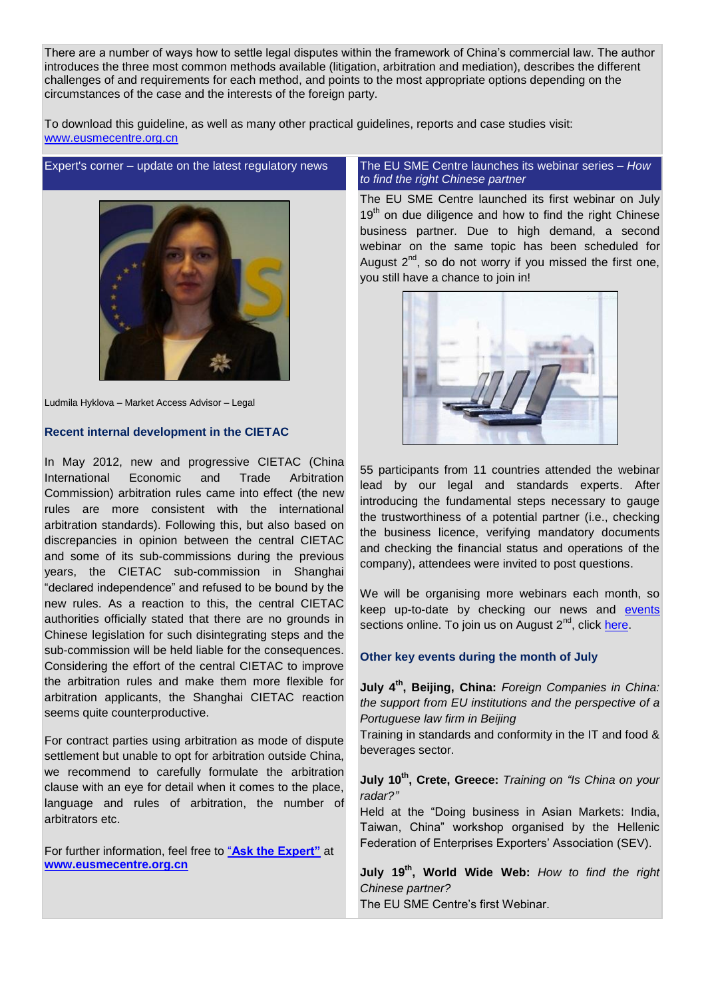There are a number of ways how to settle legal disputes within the framework of China's commercial law. The author introduces the three most common methods available (litigation, arbitration and mediation), describes the different challenges of and requirements for each method, and points to the most appropriate options depending on the circumstances of the case and the interests of the foreign party.

To download this guideline, as well as many other practical guidelines, reports and case studies visit: <www.eusmecentre.org.cn>

# <span id="page-1-0"></span>Expert's corner – update on the latest regulatory news The EU SME Centre launches its webinar series – *How*



Ludmila Hyklova – Market Access Advisor – Legal

## **Recent internal development in the CIETAC**

In May 2012, new and progressive CIETAC (China International Economic and Trade Arbitration Commission) arbitration rules came into effect (the new rules are more consistent with the international arbitration standards). Following this, but also based on discrepancies in opinion between the central CIETAC and some of its sub-commissions during the previous years, the CIETAC sub-commission in Shanghai "declared independence" and refused to be bound by the new rules. As a reaction to this, the central CIETAC authorities officially stated that there are no grounds in Chinese legislation for such disintegrating steps and the sub-commission will be held liable for the consequences. Considering the effort of the central CIETAC to improve the arbitration rules and make them more flexible for arbitration applicants, the Shanghai CIETAC reaction seems quite counterproductive.

For contract parties using arbitration as mode of dispute settlement but unable to opt for arbitration outside China, we recommend to carefully formulate the arbitration clause with an eye for detail when it comes to the place, language and rules of arbitration, the number of arbitrators etc.

For further information, feel free to "**[Ask the Expert"](http://www.eusmecentre.org.cn/ask_expert)** at **<www.eusmecentre.org.cn>**

# <span id="page-1-1"></span>*to find the right Chinese partner*

The EU SME Centre launched its first webinar on July 19<sup>th</sup> on due diligence and how to find the right Chinese business partner. Due to high demand, a second webinar on the same topic has been scheduled for August  $2^{nd}$ , so do not worry if you missed the first one, you still have a chance to join in!



55 participants from 11 countries attended the webinar lead by our legal and standards experts. After introducing the fundamental steps necessary to gauge the trustworthiness of a potential partner (i.e., checking the business licence, verifying mandatory documents and checking the financial status and operations of the company), attendees were invited to post questions.

We will be organising more webinars each month, so keep up-to-date by checking our news and [events](http://www.eusmecentre.org.cn/events) sections online. To join us on August 2<sup>nd</sup>, click [here.](https://www4.gotomeeting.com/register/152904439)

# **Other key events during the month of July**

**July 4 th, Beijing, China:** *Foreign Companies in China: the support from EU institutions and the perspective of a Portuguese law firm in Beijing*

Training in standards and conformity in the IT and food & beverages sector.

**July 10th, Crete, Greece:** *Training on "Is China on your radar?"*

Held at the "Doing business in Asian Markets: India, Taiwan, China" workshop organised by the Hellenic Federation of Enterprises Exporters' Association (SEV).

**July 19th, World Wide Web:** *How to find the right Chinese partner?*  The EU SME Centre's first Webinar.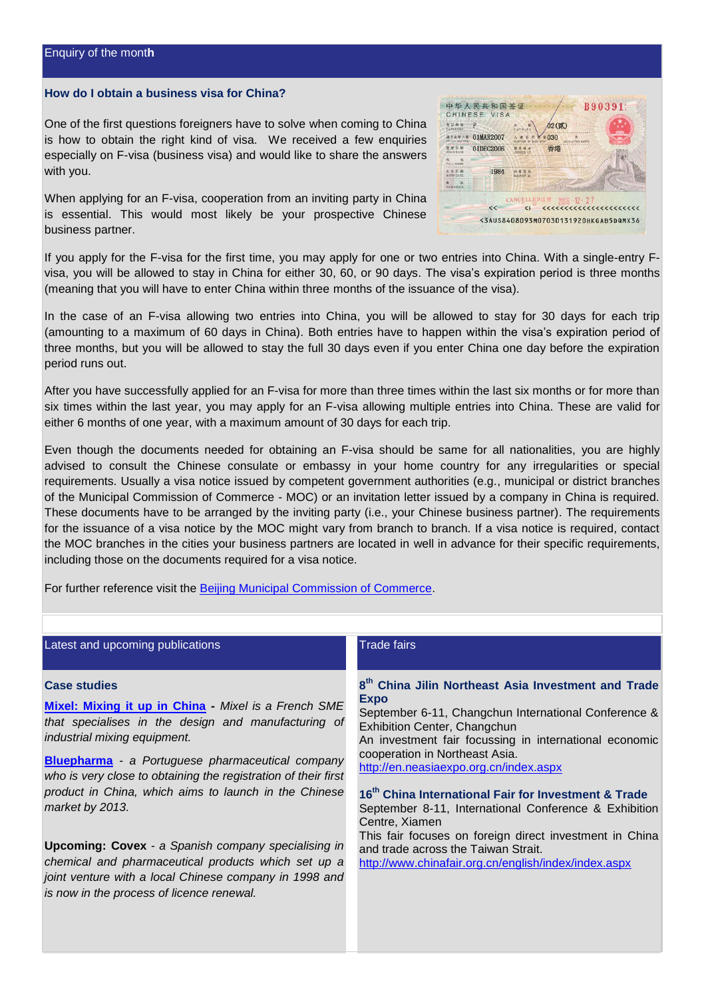#### <span id="page-2-0"></span>**How do I obtain a business visa for China?**

One of the first questions foreigners have to solve when coming to China is how to obtain the right kind of visa. We received a few enquiries especially on F-visa (business visa) and would like to share the answers with you.

When applying for an F-visa, cooperation from an inviting party in China is essential. This would most likely be your prospective Chinese business partner.

| CATEGORY                      | R         | <b>st</b><br>W            | 02(貳)                  |  |
|-------------------------------|-----------|---------------------------|------------------------|--|
| 南干北坡入堆<br><b>SATER REFORM</b> | 01MAR2007 |                           | 030<br>DAYS AFTER EN   |  |
| 签发目期<br><b>ISSUE DATE</b>     | 01DEC2006 | 答复 地点<br><b>ISSUED AT</b> | 香港                     |  |
| м<br>FULL NAME                |           |                           |                        |  |
| 出 车 日 题<br><b>BIRTH DATE</b>  | 1984      |                           |                        |  |
|                               |           |                           |                        |  |
|                               |           |                           | CANCELLED注销 2006-12-27 |  |

If you apply for the F-visa for the first time, you may apply for one or two entries into China. With a single-entry Fvisa, you will be allowed to stay in China for either 30, 60, or 90 days. The visa's expiration period is three months (meaning that you will have to enter China within three months of the issuance of the visa).

In the case of an F-visa allowing two entries into China, you will be allowed to stay for 30 days for each trip (amounting to a maximum of 60 days in China). Both entries have to happen within the visa's expiration period of three months, but you will be allowed to stay the full 30 days even if you enter China one day before the expiration period runs out.

After you have successfully applied for an F-visa for more than three times within the last six months or for more than six times within the last year, you may apply for an F-visa allowing multiple entries into China. These are valid for either 6 months of one year, with a maximum amount of 30 days for each trip.

Even though the documents needed for obtaining an F-visa should be same for all nationalities, you are highly advised to consult the Chinese consulate or embassy in your home country for any irregularities or special requirements. Usually a visa notice issued by competent government authorities (e.g., municipal or district branches of the Municipal Commission of Commerce - MOC) or an invitation letter issued by a company in China is required. These documents have to be arranged by the inviting party (i.e., your Chinese business partner). The requirements for the issuance of a visa notice by the MOC might vary from branch to branch. If a visa notice is required, contact the MOC branches in the cities your business partners are located in well in advance for their specific requirements, including those on the documents required for a visa notice.

<span id="page-2-2"></span>For further reference visit the **Beijing Municipal Commission of Commerce**.

<span id="page-2-1"></span>

| Latest and upcoming publications                                                                                                                                                                                                                                                                                                                                                                                                                                                                                                                                                                        | <b>Trade fairs</b>                                                                                                                                                                                                                                                                                                                                                                                                                                                                                                                                                                                                    |
|---------------------------------------------------------------------------------------------------------------------------------------------------------------------------------------------------------------------------------------------------------------------------------------------------------------------------------------------------------------------------------------------------------------------------------------------------------------------------------------------------------------------------------------------------------------------------------------------------------|-----------------------------------------------------------------------------------------------------------------------------------------------------------------------------------------------------------------------------------------------------------------------------------------------------------------------------------------------------------------------------------------------------------------------------------------------------------------------------------------------------------------------------------------------------------------------------------------------------------------------|
| <b>Case studies</b><br>Mixel: Mixing it up in China - Mixel is a French SME<br>that specialises in the design and manufacturing of<br>industrial mixing equipment.<br><b>Bluepharma</b> - a Portuguese pharmaceutical company<br>who is very close to obtaining the registration of their first<br>product in China, which aims to launch in the Chinese<br>market by 2013.<br><b>Upcoming: Covex</b> - a Spanish company specialising in<br>chemical and pharmaceutical products which set up a<br>joint venture with a local Chinese company in 1998 and<br>is now in the process of licence renewal. | 8 <sup>th</sup> China Jilin Northeast Asia Investment and Trade<br><b>Expo</b><br>September 6-11, Changchun International Conference &<br>Exhibition Center, Changchun<br>An investment fair focussing in international economic<br>cooperation in Northeast Asia.<br>http://en.neasiaexpo.org.cn/index.aspx<br>16 <sup>th</sup> China International Fair for Investment & Trade<br>September 8-11, International Conference & Exhibition<br>Centre, Xiamen<br>This fair focuses on foreign direct investment in China<br>and trade across the Taiwan Strait.<br>http://www.chinafair.org.cn/english/index/index.aspx |